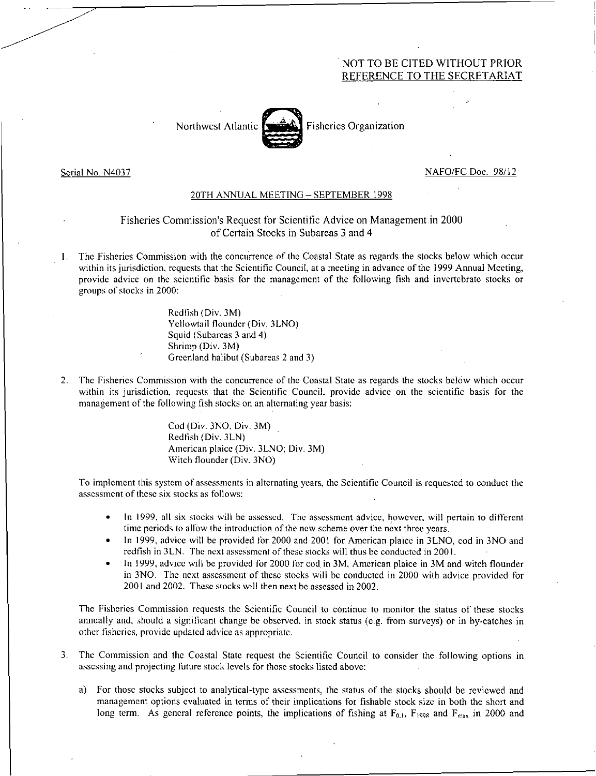# NOT TO BE CITED WITHOUT PRIOR REFERENCE TO THE SECRETARIAT



### Serial No. N4037 NAFO/FC Doc. 98/12

## 20TH ANNUAL MEETING — SEPTEMBER 1998

## Fisheries Commission's Request for Scientific Advice on Management in 2000 of Certain Stocks in Subareas 3 and 4

I. The Fisheries Commission with the concurrence of the Coastal State as regards the stocks below which occur within its jurisdiction, requests that the Scientific Council, at a meeting in advance of the 1999 Annual Meeting, provide advice on the scientific basis for the management of the following fish and invertebrate stocks or groups of stocks in 2000:

> Redfish (Div. 3M) Yellowtail flounder (Div. 3LNO) Squid (Subareas 3 and 4) Shrimp (Div. 3M) Greenland halibut (Subareas 2 and 3)

2. The Fisheries Commission with the concurrence of the Coastal State as regards the stocks below which occur within its jurisdiction, requests that the Scientific Council, provide advice on the scientific basis for the management of the following fish stocks on an alternating year basis:

> Cod (Div. 3NO; Div. 3M) Redfish (Div. 3LN) American plaice (Div. 3LNO; Div. 3M) Witch flounder (Div. 3NO)

To implement this system of assessments in alternating years, the Scientific Council is requested to conduct the assessment of these six stocks as follows:

- In 1999, all six stocks will be assessed. The assessment advice, however, will pertain to different time periods to allbw the introduction of the new scheme over the next three years.
- In 1999, advice will be provided for 2000 and 2001 for American plaice in 3LNO, cod in 3NO and redfish in 3LN. The next assessment of these stocks will thus be conducted in 2001.
- In 1999, advice will be provided for 2000 for cod in 3M, American plaice in 3M and witch flounder in 3NO. The next assessment of these stocks will be conducted in 2000 with advice provided for 2001 and 2002. These stocks will then next be assessed in 2002.

The Fisheries Commission requests the Scientific Council to continue to monitor the status of these stocks annually and, should a significant change be observed, in stock status (e.g. from surveys) or in by-catches in other fisheries, provide updated advice as appropriate.

- 3. The Commission and the Coastal State request the Scientific Council to consider the following options in assessing and projecting future stock levels for those stocks listed above:
	- a) For those stocks subject to analytical-type assessments, the status of the stocks should be reviewed and management options evaluated in terms of their implications for fishable stock size in both the short and long term. As general reference points, the implications of fishing at  $F_{0,1}$ ,  $F_{1998}$  and  $F_{max}$  in 2000 and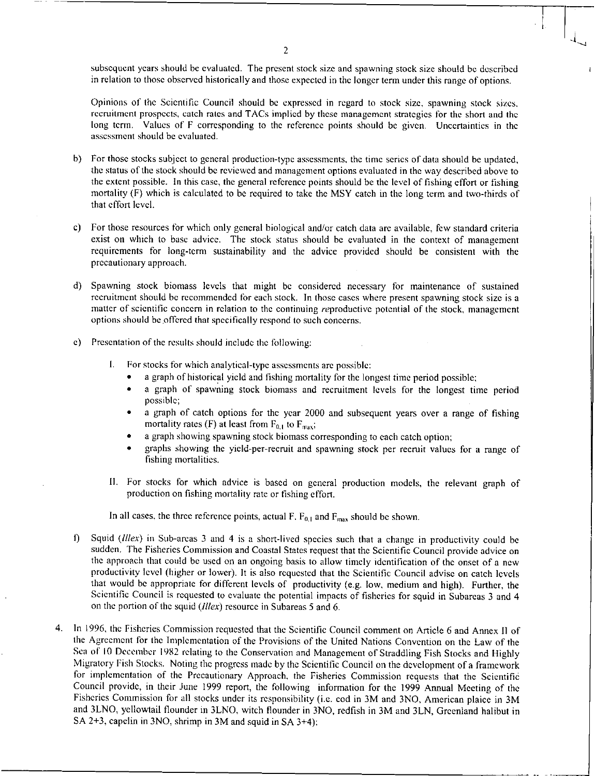subsequent years should be evaluated. The present stock size and spawning stock size should be described in relation to those observed historically and those expected in the longer term under this range of options.

Opinions of the Scientific Council should be expressed in regard to stock size, spawning stock sizes, recruitment prospects, catch rates and TACs implied by these management strategies for the short and the long term. Values of F corresponding to the reference points should be given. Uncertainties in the assessment should be evaluated.

- b) For those stocks subject to general production-type assessments, the time series of data should be updated, the status of the stock should be reviewed and management options evaluated in the way described above to the extent possible. In this case, the general reference points should be the level of fishing effort or fishing mortality (F) which is calculated to be required to take the MSY catch in the long term and two-thirds of that effort level.
- c) For those resources for which only general biological and/or catch data are available, few standard criteria exist on which to base advice. The stock status should be evaluated in the context of management requirements for long-term sustainability and the advice provided should be consistent with the precautionary approach.
- d) Spawning stock biomass levels that might be considered necessary for maintenance of sustained recruitment should be recommended for each stock. In those cases where present spawning stock size is a matter of scientific concern in relation to the continuing reproductive potential of the stock, management options should be offered that specifically respond to such concerns.
- e) Presentation of the results should include the following:
	- I For stocks for which analytical-type assessments are possible:
		- a graph of historical yield and fishing mortality for the longest time period possible;
		- a graph of spawning stock biomass and recruitment levels for the longest time period possible;
		- a graph of catch options for the year 2000 and subsequent years over a range of fishing mortality rates (F) at least from  $F_{0,1}$  to  $F_{\text{max}}$ ;
		- a graph showing spawning stock biomass corresponding to each catch option;
		- graphs showing the yield-per-recruit and spawning stock per recruit values for a range of fishing mortalities.
	- II. For stocks for which advice is based on general production models, the relevant graph of production on fishing mortality rate or fishing effort.

In all cases, the three reference points, actual F,  $F_{0,1}$  and  $F_{max}$  should be shown.

- I) Squid *(Illex)* in Sub-areas 3 and 4 is a short-lived species such that a change in productivity could be sudden. The Fisheries Commission and Coastal States request that the Scientific Council provide advice on the approach that could be used on an ongoing basis to allow timely identification of the onset of a new productivity level (higher or lower). It is also requested that the Scientific Council advise on catch levels that would be appropriate for different levels of productivity (e.g. low, medium and high). Further, the Scientific Council is requested to evaluate the potential impacts of fisheries for squid in Subareas 3 and 4 on the portion of the squid *(Illex)* resource in Subareas 5 and 6.
- 4. In 1996, the Fisheries Commission requested that the Scientific Council comment on Article 6 and Annex II of the Agreement for the Implementation of the Provisions of the United Nations Convention on the Law of the Sea of 10 December 1982 relating to the Conservation and Management of Straddling Fish Stocks and Highly Migratory Fish Stocks. Noting the progress made by the Scientific Council on the development of a framework for implementation of the Precautionary Approach, the Fisheries Commission requests that the Scientific Council provide, in their June 1999 report, the following information for the 1999 Annual Meeting of the Fisheries Commission for all stocks under its responsibility (i.e. cod in 3M and 3NO, American plaice in 3M and 3LNO, yellowtail flounder in 3LNO, witch flounder in 3NO, redfish in 3M and 3LN, Greenland halibut in SA 2+3, capelin in 3NO, shrimp in 3M and squid in SA 3+4):